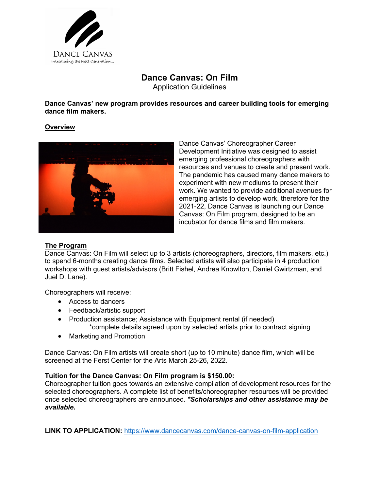

# **Dance Canvas: On Film** Application Guidelines

**Dance Canvas' new program provides resources and career building tools for emerging dance film makers.**

## **Overview**



Dance Canvas' Choreographer Career Development Initiative was designed to assist emerging professional choreographers with resources and venues to create and present work. The pandemic has caused many dance makers to experiment with new mediums to present their work. We wanted to provide additional avenues for emerging artists to develop work, therefore for the 2021-22, Dance Canvas is launching our Dance Canvas: On Film program, designed to be an incubator for dance films and film makers.

#### **The Program**

Dance Canvas: On Film will select up to 3 artists (choreographers, directors, film makers, etc.) to spend 6-months creating dance films. Selected artists will also participate in 4 production workshops with guest artists/advisors (Britt Fishel, Andrea Knowlton, Daniel Gwirtzman, and Juel D. Lane).

Choreographers will receive:

- Access to dancers
- Feedback/artistic support
- Production assistance; Assistance with Equipment rental (if needed) \*complete details agreed upon by selected artists prior to contract signing
- Marketing and Promotion

Dance Canvas: On Film artists will create short (up to 10 minute) dance film, which will be screened at the Ferst Center for the Arts March 25-26, 2022.

#### **Tuition for the Dance Canvas: On Film program is \$150.00:**

Choreographer tuition goes towards an extensive compilation of development resources for the selected choreographers. A complete list of benefits/choreographer resources will be provided once selected choreographers are announced. *\*Scholarships and other assistance may be available.* 

**LINK TO APPLICATION:** https://www.dancecanvas.com/dance-canvas-on-film-application